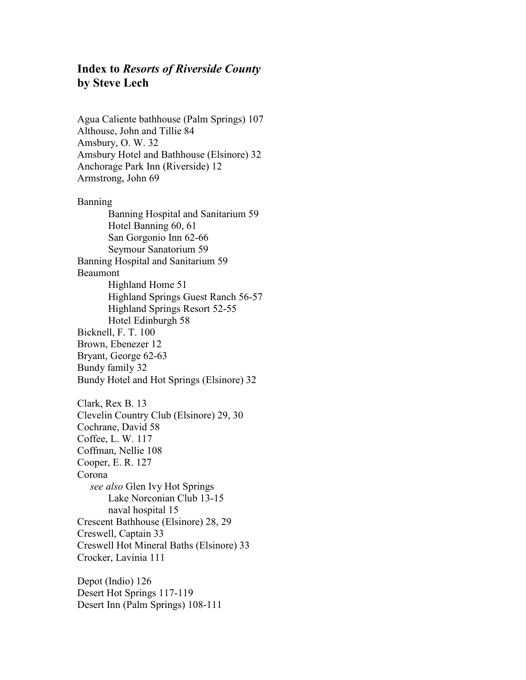## Index to Resorts of Riverside County by Steve Lech

Agua Caliente bathhouse (Palm Springs) 107 Althouse, John and Tillie 84 Amsbury, O. W. 32 Amsbury Hotel and Bathhouse (Elsinore) 32 Anchorage Park Inn (Riverside) 12 Armstrong, John 69 Banning Banning Hospital and Sanitarium 59 Hotel Banning 60, 61 San Gorgonio Inn 62-66 Seymour Sanatorium 59 Banning Hospital and Sanitarium 59 Beaumont Highland Home 51 Highland Springs Guest Ranch 56-57 Highland Springs Resort 52-55 Hotel Edinburgh 58 Bicknell, F. T. 100 Brown, Ebenezer 12 Bryant, George 62-63 Bundy family 32 Bundy Hotel and Hot Springs (Elsinore) 32 Clark, Rex B. 13 Clevelin Country Club (Elsinore) 29, 30 Cochrane, David 58 Coffee, L. W. 117 Coffman, Nellie 108 Cooper, E. R. 127 Corona see also Glen Ivy Hot Springs Lake Norconian Club 13-15 naval hospital 15 Crescent Bathhouse (Elsinore) 28, 29 Creswell, Captain 33 Creswell Hot Mineral Baths (Elsinore) 33 Crocker, Lavinia 111

Depot (Indio) 126 Desert Hot Springs 117-119 Desert Inn (Palm Springs) 108-111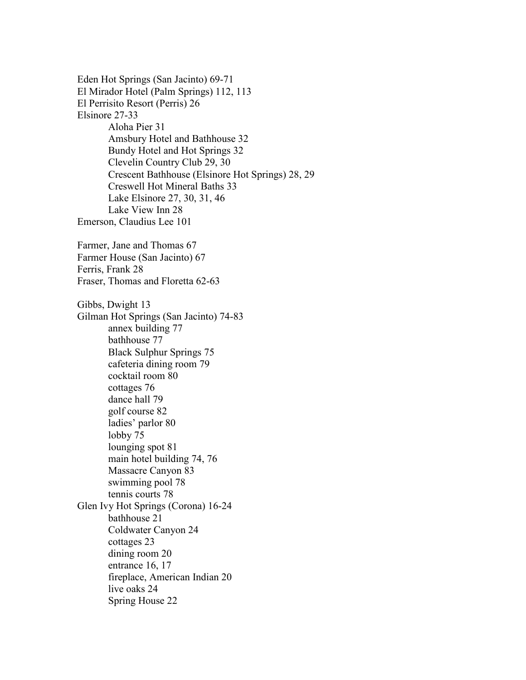Eden Hot Springs (San Jacinto) 69-71 El Mirador Hotel (Palm Springs) 112, 113 El Perrisito Resort (Perris) 26 Elsinore 27-33 Aloha Pier 31 Amsbury Hotel and Bathhouse 32 Bundy Hotel and Hot Springs 32 Clevelin Country Club 29, 30 Crescent Bathhouse (Elsinore Hot Springs) 28, 29 Creswell Hot Mineral Baths 33 Lake Elsinore 27, 30, 31, 46 Lake View Inn 28 Emerson, Claudius Lee 101 Farmer, Jane and Thomas 67 Farmer House (San Jacinto) 67 Ferris, Frank 28 Fraser, Thomas and Floretta 62-63 Gibbs, Dwight 13 Gilman Hot Springs (San Jacinto) 74-83 annex building 77 bathhouse 77 Black Sulphur Springs 75 cafeteria dining room 79 cocktail room 80 cottages 76 dance hall 79 golf course 82 ladies' parlor 80 lobby 75 lounging spot 81 main hotel building 74, 76 Massacre Canyon 83 swimming pool 78 tennis courts 78 Glen Ivy Hot Springs (Corona) 16-24 bathhouse 21 Coldwater Canyon 24 cottages 23 dining room 20 entrance 16, 17 fireplace, American Indian 20 live oaks 24 Spring House 22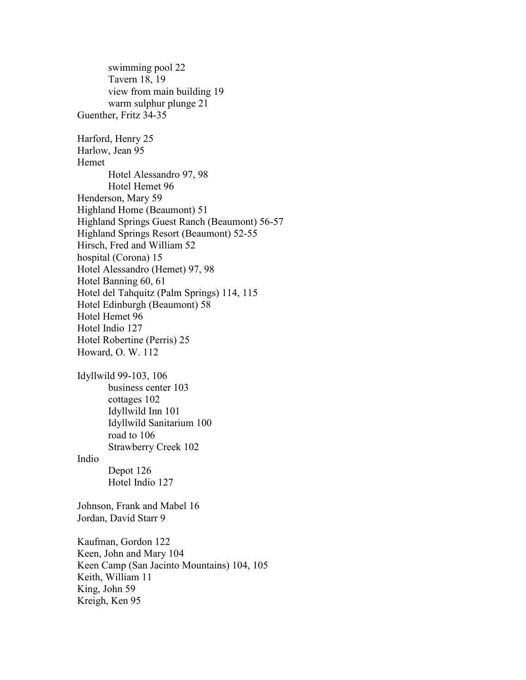swimming pool 22 Tavern 18, 19 view from main building 19 warm sulphur plunge 21 Guenther, Fritz 34-35 Harford, Henry 25 Harlow, Jean 95 Hemet Hotel Alessandro 97, 98 Hotel Hemet 96 Henderson, Mary 59 Highland Home (Beaumont) 51 Highland Springs Guest Ranch (Beaumont) 56-57 Highland Springs Resort (Beaumont) 52-55 Hirsch, Fred and William 52 hospital (Corona) 15 Hotel Alessandro (Hemet) 97, 98 Hotel Banning 60, 61 Hotel del Tahquitz (Palm Springs) 114, 115 Hotel Edinburgh (Beaumont) 58 Hotel Hemet 96 Hotel Indio 127 Hotel Robertine (Perris) 25 Howard, O. W. 112 Idyllwild 99-103, 106 business center 103 cottages 102 Idyllwild Inn 101 Idyllwild Sanitarium 100 road to 106 Strawberry Creek 102 Indio Depot 126 Hotel Indio 127 Johnson, Frank and Mabel 16 Jordan, David Starr 9 Kaufman, Gordon 122 Keen, John and Mary 104 Keen Camp (San Jacinto Mountains) 104, 105 Keith, William 11 King, John 59 Kreigh, Ken 95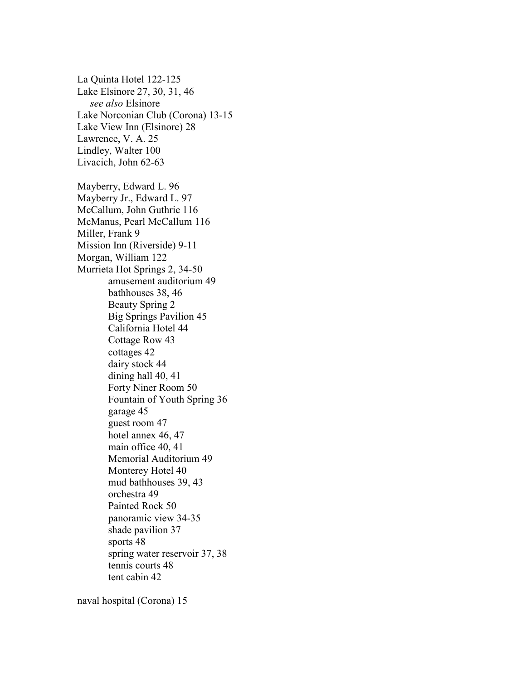La Quinta Hotel 122-125 Lake Elsinore 27, 30, 31, 46 see also Elsinore Lake Norconian Club (Corona) 13-15 Lake View Inn (Elsinore) 28 Lawrence, V. A. 25 Lindley, Walter 100 Livacich, John 62-63 Mayberry, Edward L. 96 Mayberry Jr., Edward L. 97 McCallum, John Guthrie 116 McManus, Pearl McCallum 116 Miller, Frank 9 Mission Inn (Riverside) 9-11 Morgan, William 122 Murrieta Hot Springs 2, 34-50 amusement auditorium 49 bathhouses 38, 46 Beauty Spring 2 Big Springs Pavilion 45 California Hotel 44 Cottage Row 43 cottages 42 dairy stock 44 dining hall 40, 41 Forty Niner Room 50 Fountain of Youth Spring 36 garage 45 guest room 47 hotel annex 46, 47 main office 40, 41 Memorial Auditorium 49 Monterey Hotel 40 mud bathhouses 39, 43 orchestra 49 Painted Rock 50 panoramic view 34-35 shade pavilion 37 sports 48 spring water reservoir 37, 38 tennis courts 48 tent cabin 42

naval hospital (Corona) 15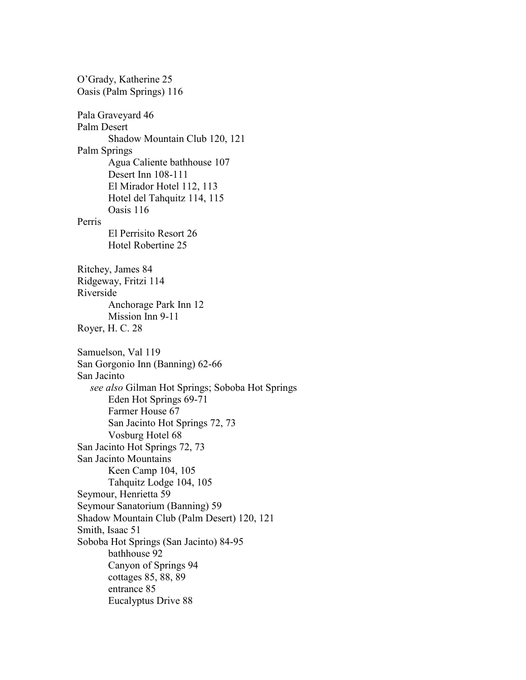O'Grady, Katherine 25 Oasis (Palm Springs) 116 Pala Graveyard 46 Palm Desert Shadow Mountain Club 120, 121 Palm Springs Agua Caliente bathhouse 107 Desert Inn 108-111 El Mirador Hotel 112, 113 Hotel del Tahquitz 114, 115 Oasis 116 Perris El Perrisito Resort 26 Hotel Robertine 25 Ritchey, James 84 Ridgeway, Fritzi 114 Riverside Anchorage Park Inn 12 Mission Inn 9-11 Royer, H. C. 28 Samuelson, Val 119 San Gorgonio Inn (Banning) 62-66 San Jacinto see also Gilman Hot Springs; Soboba Hot Springs Eden Hot Springs 69-71 Farmer House 67 San Jacinto Hot Springs 72, 73 Vosburg Hotel 68 San Jacinto Hot Springs 72, 73 San Jacinto Mountains Keen Camp 104, 105 Tahquitz Lodge 104, 105 Seymour, Henrietta 59 Seymour Sanatorium (Banning) 59 Shadow Mountain Club (Palm Desert) 120, 121 Smith, Isaac 51 Soboba Hot Springs (San Jacinto) 84-95 bathhouse 92 Canyon of Springs 94 cottages 85, 88, 89 entrance 85 Eucalyptus Drive 88